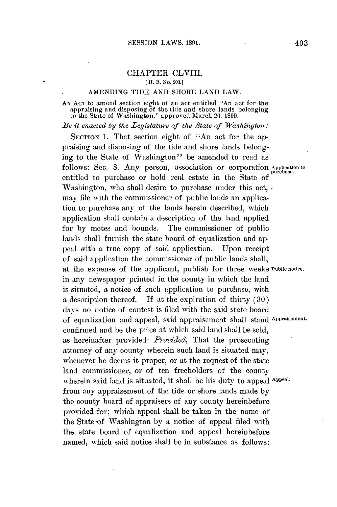## CHAPTER CLVIII.

*[* H. B. No. **203.]**

## AMENDING **TIDE AND** SHORE **LAND** LAW.

## **AN ACT** to amend section eight of an act entitled "An act for the appraising and disposing of the tide and shore lands belonging to the State of Washington," approved March **26, 1890.**

*Be it enacted by the Legislature of the State of Washington:*

SECTION 1. That section eight of "An act for the appraising and disposing of the tide and shore lands belonging to the State of Washington" be amended to read as follows: Sec. 8. Any person, association or corporation *Application* to entitled to purchase or hold real estate in the State **of** Washington, who shall desire to purchase under this act, . may file with the commissioner of public lands an application to purchase any of the lands herein described, which application shall contain a description of the land applied for **by** metes and bounds. The commissioner of public lands shall furnish the state board of equalization and appeal with a true copy of said application. Upon receipt of said application the commissioner of public lands shall, at the expense of the applicant, publish for three weeks **Public notice.** in any newspaper printed in the county in which the land is situated, a notice of such application to purchase, with a description thereof. **If** at the expiration of thirty **(30)** days no notice of contest is filed with the said state board of equalization and appeal, said appraisement shall stand **Appraisement.** confirmed and be the price at which said land shall be sold, as hereinafter provided: *Provided,* That the prosecuting attorney of any county wherein such land is situated may, whenever he deems it proper, or at the request of the state land commissioner, or of ten freeholders of the county wherein said land is situated, it shall be his duty to appeal Appeal. from any appraisement of the tide or shore lands made **by** the county board of appraisers of any county hereinbefore provided for; which appeal shall **be** taken in the name of the State-of Washington **by** a notice of appeal filed with the state board of equalization and appeal hereinbefore named, which said notice shall be in substance as follows: